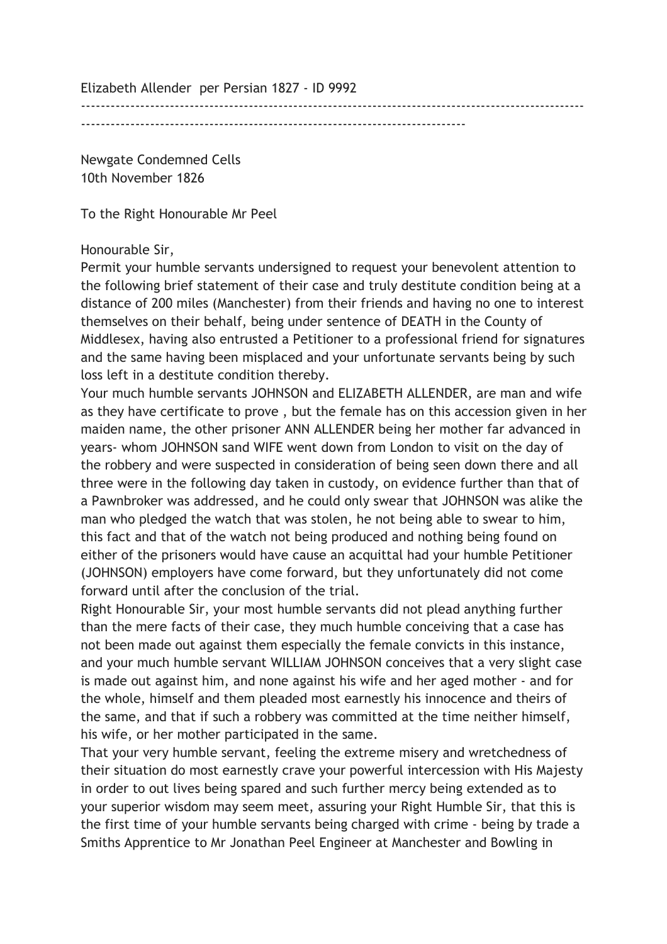Elizabeth Allender per Persian 1827 - ID 9992

------------------------------------------------------------------------------------------------------ ------------------------------------------------------------------------------

Newgate Condemned Cells 10th November 1826

To the Right Honourable Mr Peel

## Honourable Sir,

Permit your humble servants undersigned to request your benevolent attention to the following brief statement of their case and truly destitute condition being at a distance of 200 miles (Manchester) from their friends and having no one to interest themselves on their behalf, being under sentence of DEATH in the County of Middlesex, having also entrusted a Petitioner to a professional friend for signatures and the same having been misplaced and your unfortunate servants being by such loss left in a destitute condition thereby.

Your much humble servants JOHNSON and ELIZABETH ALLENDER, are man and wife as they have certificate to prove , but the female has on this accession given in her maiden name, the other prisoner ANN ALLENDER being her mother far advanced in years- whom JOHNSON sand WIFE went down from London to visit on the day of the robbery and were suspected in consideration of being seen down there and all three were in the following day taken in custody, on evidence further than that of a Pawnbroker was addressed, and he could only swear that JOHNSON was alike the man who pledged the watch that was stolen, he not being able to swear to him, this fact and that of the watch not being produced and nothing being found on either of the prisoners would have cause an acquittal had your humble Petitioner (JOHNSON) employers have come forward, but they unfortunately did not come forward until after the conclusion of the trial.

Right Honourable Sir, your most humble servants did not plead anything further than the mere facts of their case, they much humble conceiving that a case has not been made out against them especially the female convicts in this instance, and your much humble servant WILLIAM JOHNSON conceives that a very slight case is made out against him, and none against his wife and her aged mother - and for the whole, himself and them pleaded most earnestly his innocence and theirs of the same, and that if such a robbery was committed at the time neither himself, his wife, or her mother participated in the same.

That your very humble servant, feeling the extreme misery and wretchedness of their situation do most earnestly crave your powerful intercession with His Majesty in order to out lives being spared and such further mercy being extended as to your superior wisdom may seem meet, assuring your Right Humble Sir, that this is the first time of your humble servants being charged with crime - being by trade a Smiths Apprentice to Mr Jonathan Peel Engineer at Manchester and Bowling in